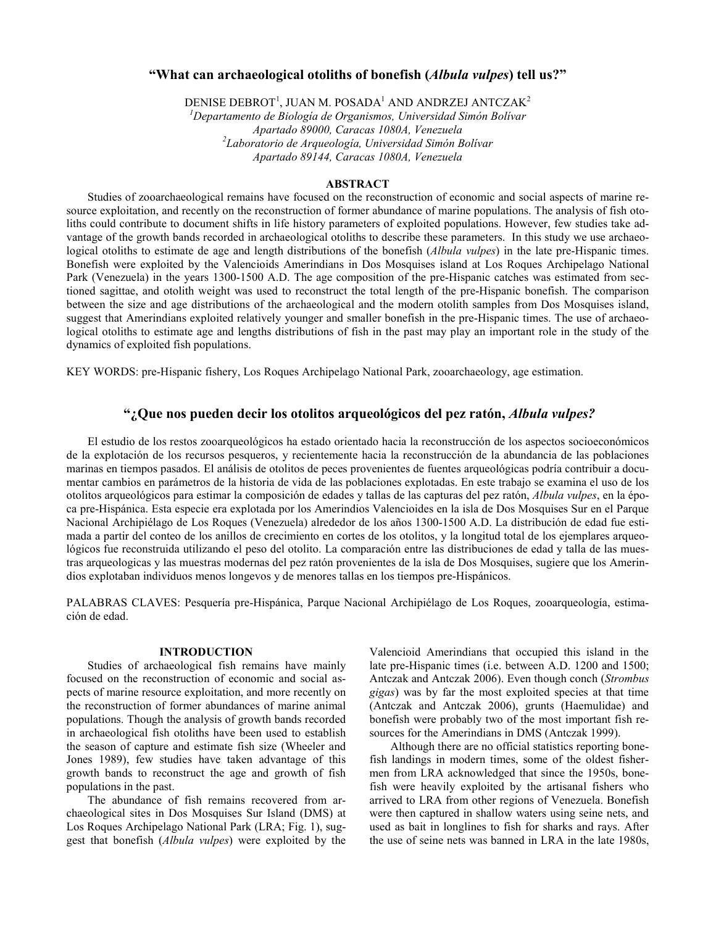# "What can archaeological otoliths of bonefish (Albula vulpes) tell us?"

DENISE DEBROT $^{\rm 1}$ , JUAN M. POSADA $^{\rm 1}$  AND ANDRZEJ ANTCZAK $^{\rm 2}$ 

 $1$ Departamento de Biología de Organismos, Universidad Simón Bolívar Apartado 89000, Caracas 1080A, Venezuela  $^{2}$ Laboratorio de Arqueología, Universidad Simón Bolívar Apartado 89144, Caracas 1080A, Venezuela

## ABSTRACT

Studies of zooarchaeological remains have focused on the reconstruction of economic and social aspects of marine resource exploitation, and recently on the reconstruction of former abundance of marine populations. The analysis of fish otoliths could contribute to document shifts in life history parameters of exploited populations. However, few studies take advantage of the growth bands recorded in archaeological otoliths to describe these parameters. In this study we use archaeological otoliths to estimate de age and length distributions of the bonefish (*Albula vulpes*) in the late pre-Hispanic times. Bonefish were exploited by the Valencioids Amerindians in Dos Mosquises island at Los Roques Archipelago National Park (Venezuela) in the years 1300-1500 A.D. The age composition of the pre-Hispanic catches was estimated from sectioned sagittae, and otolith weight was used to reconstruct the total length of the pre-Hispanic bonefish. The comparison between the size and age distributions of the archaeological and the modern otolith samples from Dos Mosquises island, suggest that Amerindians exploited relatively younger and smaller bonefish in the pre-Hispanic times. The use of archaeological otoliths to estimate age and lengths distributions of fish in the past may play an important role in the study of the dynamics of exploited fish populations.

KEY WORDS: pre-Hispanic fishery, Los Roques Archipelago National Park, zooarchaeology, age estimation.

# ": Que nos pueden decir los otolitos arqueológicos del pez ratón, Albula vulpes?

El estudio de los restos zooarqueológicos ha estado orientado hacia la reconstrucción de los aspectos socioeconómicos de la explotación de los recursos pesqueros, y recientemente hacia la reconstrucción de la abundancia de las poblaciones marinas en tiempos pasados. El análisis de otolitos de peces provenientes de fuentes arqueológicas podría contribuir a documentar cambios en parámetros de la historia de vida de las poblaciones explotadas. En este trabajo se examina el uso de los otolitos arqueológicos para estimar la composición de edades y tallas de las capturas del pez ratón, Albula vulpes, en la época pre-Hispánica. Esta especie era explotada por los Amerindios Valencioides en la isla de Dos Mosquises Sur en el Parque Nacional Archipiélago de Los Roques (Venezuela) alrededor de los años 1300-1500 A.D. La distribución de edad fue estimada a partir del conteo de los anillos de crecimiento en cortes de los otolitos, y la longitud total de los ejemplares arqueológicos fue reconstruida utilizando el peso del otolito. La comparación entre las distribuciones de edad y talla de las muestras arqueologicas y las muestras modernas del pez ratón provenientes de la isla de Dos Mosquises, sugiere que los Amerindios explotaban individuos menos longevos y de menores tallas en los tiempos pre-Hispánicos.

PALABRAS CLAVES: Pesquería pre-Hispánica, Parque Nacional Archipiélago de Los Roques, zooarqueología, estimación de edad.

## INTRODUCTION

Studies of archaeological fish remains have mainly focused on the reconstruction of economic and social aspects of marine resource exploitation, and more recently on the reconstruction of former abundances of marine animal populations. Though the analysis of growth bands recorded in archaeological fish otoliths have been used to establish the season of capture and estimate fish size (Wheeler and Jones 1989), few studies have taken advantage of this growth bands to reconstruct the age and growth of fish populations in the past.

The abundance of fish remains recovered from archaeological sites in Dos Mosquises Sur Island (DMS) at Los Roques Archipelago National Park (LRA; Fig. 1), suggest that bonefish (Albula vulpes) were exploited by the Valencioid Amerindians that occupied this island in the late pre-Hispanic times (i.e. between A.D. 1200 and 1500; Antczak and Antczak 2006). Even though conch (Strombus gigas) was by far the most exploited species at that time (Antczak and Antczak 2006), grunts (Haemulidae) and bonefish were probably two of the most important fish resources for the Amerindians in DMS (Antczak 1999).

Although there are no official statistics reporting bonefish landings in modern times, some of the oldest fishermen from LRA acknowledged that since the 1950s, bonefish were heavily exploited by the artisanal fishers who arrived to LRA from other regions of Venezuela. Bonefish were then captured in shallow waters using seine nets, and used as bait in longlines to fish for sharks and rays. After the use of seine nets was banned in LRA in the late 1980s,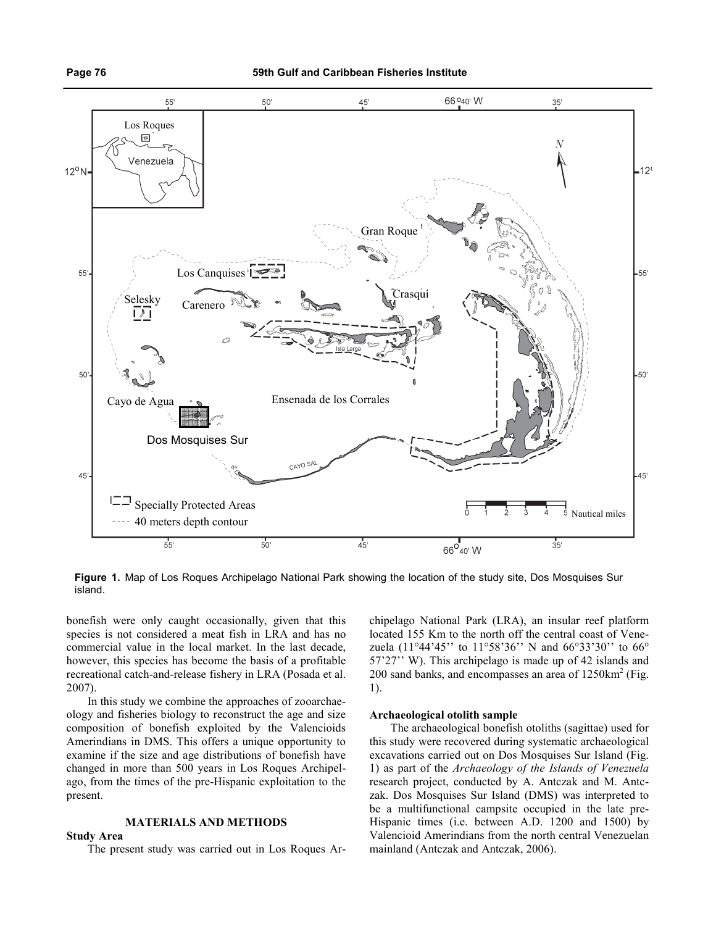

Figure 1. Map of Los Roques Archipelago National Park showing the location of the study site, Dos Mosquises Sur island.

bonefish were only caught occasionally, given that this species is not considered a meat fish in LRA and has no commercial value in the local market. In the last decade, however, this species has become the basis of a profitable recreational catch-and-release fishery in LRA (Posada et al. 2007).

In this study we combine the approaches of zooarchaeology and fisheries biology to reconstruct the age and size composition of bonefish exploited by the Valencioids Amerindians in DMS. This offers a unique opportunity to examine if the size and age distributions of bonefish have changed in more than 500 years in Los Roques Archipelago, from the times of the pre-Hispanic exploitation to the present.

# MATERIALS AND METHODS

## Study Area

The present study was carried out in Los Roques Ar-

chipelago National Park (LRA), an insular reef platform located 155 Km to the north off the central coast of Venezuela (11°44'45'' to 11°58'36'' N and 66°33'30'' to 66° 57'27'' W). This archipelago is made up of 42 islands and 200 sand banks, and encompasses an area of  $1250 \text{km}^2$  (Fig. 1).

## Archaeological otolith sample

The archaeological bonefish otoliths (sagittae) used for this study were recovered during systematic archaeological excavations carried out on Dos Mosquises Sur Island (Fig. 1) as part of the Archaeology of the Islands of Venezuela research project, conducted by A. Antczak and M. Antczak. Dos Mosquises Sur Island (DMS) was interpreted to be a multifunctional campsite occupied in the late pre-Hispanic times (i.e. between A.D. 1200 and 1500) by Valencioid Amerindians from the north central Venezuelan mainland (Antczak and Antczak, 2006).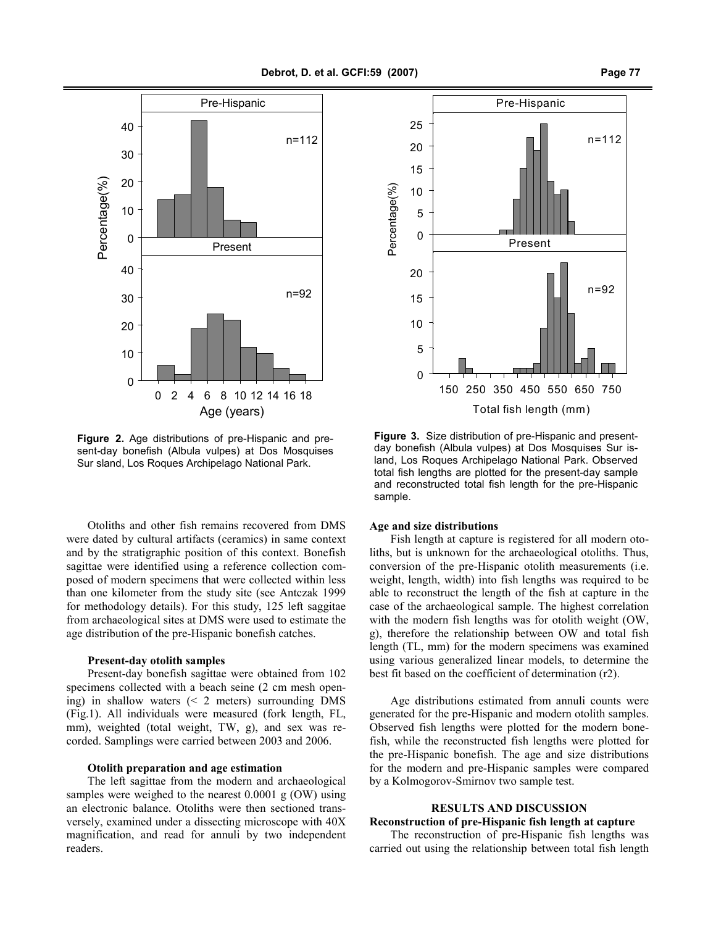

Figure 2. Age distributions of pre-Hispanic and present-day bonefish (Albula vulpes) at Dos Mosquises Sur sland, Los Roques Archipelago National Park.

Otoliths and other fish remains recovered from DMS were dated by cultural artifacts (ceramics) in same context and by the stratigraphic position of this context. Bonefish sagittae were identified using a reference collection composed of modern specimens that were collected within less than one kilometer from the study site (see Antczak 1999 for methodology details). For this study, 125 left saggitae from archaeological sites at DMS were used to estimate the age distribution of the pre-Hispanic bonefish catches.

#### Present-day otolith samples

Present-day bonefish sagittae were obtained from 102 specimens collected with a beach seine (2 cm mesh opening) in shallow waters (< 2 meters) surrounding DMS (Fig.1). All individuals were measured (fork length, FL, mm), weighted (total weight, TW, g), and sex was recorded. Samplings were carried between 2003 and 2006.

#### Otolith preparation and age estimation

The left sagittae from the modern and archaeological samples were weighed to the nearest 0.0001 g (OW) using an electronic balance. Otoliths were then sectioned transversely, examined under a dissecting microscope with 40X magnification, and read for annuli by two independent readers.



Figure 3. Size distribution of pre-Hispanic and presentday bonefish (Albula vulpes) at Dos Mosquises Sur island, Los Roques Archipelago National Park. Observed total fish lengths are plotted for the present-day sample and reconstructed total fish length for the pre-Hispanic sample.

#### Age and size distributions

Fish length at capture is registered for all modern otoliths, but is unknown for the archaeological otoliths. Thus, conversion of the pre-Hispanic otolith measurements (i.e. weight, length, width) into fish lengths was required to be able to reconstruct the length of the fish at capture in the case of the archaeological sample. The highest correlation with the modern fish lengths was for otolith weight (OW, g), therefore the relationship between OW and total fish length (TL, mm) for the modern specimens was examined using various generalized linear models, to determine the best fit based on the coefficient of determination (r2).

Age distributions estimated from annuli counts were generated for the pre-Hispanic and modern otolith samples. Observed fish lengths were plotted for the modern bonefish, while the reconstructed fish lengths were plotted for the pre-Hispanic bonefish. The age and size distributions for the modern and pre-Hispanic samples were compared by a Kolmogorov-Smirnov two sample test.

#### RESULTS AND DISCUSSION

# Reconstruction of pre-Hispanic fish length at capture

The reconstruction of pre-Hispanic fish lengths was carried out using the relationship between total fish length